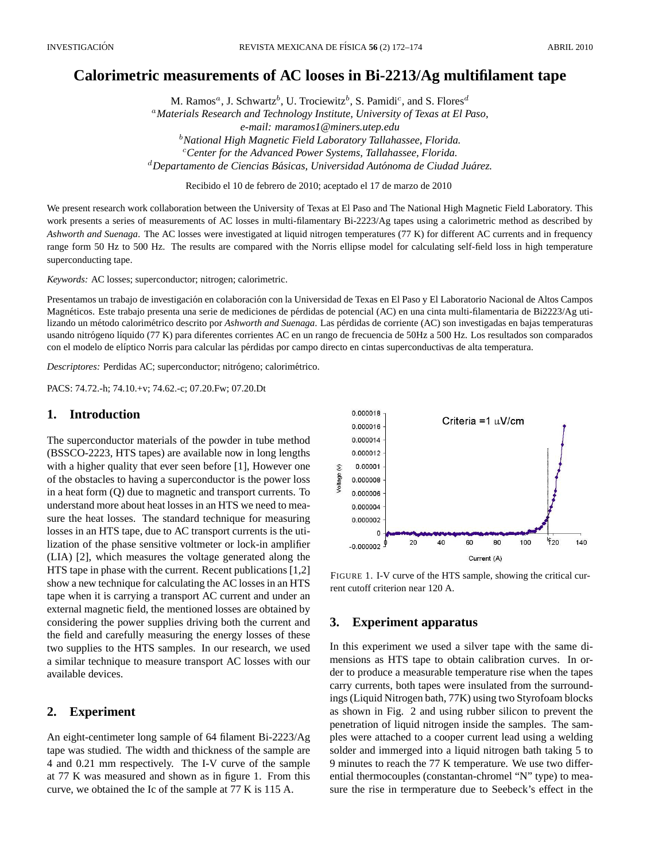# **Calorimetric measurements of AC looses in Bi-2213/Ag multifilament tape**

M. Ramos<sup>a</sup>, J. Schwartz<sup>b</sup>, U. Trociewitz<sup>b</sup>, S. Pamidi<sup>c</sup>, and S. Flores<sup>d</sup> <sup>a</sup>*Materials Research and Technology Institute, University of Texas at El Paso, e-mail: maramos1@miners.utep.edu* <sup>b</sup>*National High Magnetic Field Laboratory Tallahassee, Florida.* <sup>c</sup>*Center for the Advanced Power Systems, Tallahassee, Florida.* <sup>*d*</sup>Departamento de Ciencias Básicas, Universidad Autónoma de Ciudad Juárez.

Recibido el 10 de febrero de 2010; aceptado el 17 de marzo de 2010

We present research work collaboration between the University of Texas at El Paso and The National High Magnetic Field Laboratory. This work presents a series of measurements of AC losses in multi-filamentary Bi-2223/Ag tapes using a calorimetric method as described by *Ashworth and Suenaga*. The AC losses were investigated at liquid nitrogen temperatures (77 K) for different AC currents and in frequency range form 50 Hz to 500 Hz. The results are compared with the Norris ellipse model for calculating self-field loss in high temperature superconducting tape.

*Keywords:* AC losses; superconductor; nitrogen; calorimetric.

Presentamos un trabajo de investigación en colaboración con la Universidad de Texas en El Paso y El Laboratorio Nacional de Altos Campos Magnéticos. Este trabajo presenta una serie de mediciones de pérdidas de potencial (AC) en una cinta multi-filamentaria de Bi2223/Ag utilizando un método calorimétrico descrito por *Ashworth and Suenaga*. Las pérdidas de corriente (AC) son investigadas en bajas temperaturas usando nitrógeno líquido (77 K) para diferentes corrientes AC en un rango de frecuencia de 50Hz a 500 Hz. Los resultados son comparados con el modelo de elíptico Norris para calcular las pérdidas por campo directo en cintas superconductivas de alta temperatura.

*Descriptores:* Perdidas AC; superconductor; nitrógeno; calorimétrico.

PACS: 74.72.-h; 74.10.+v; 74.62.-c; 07.20.Fw; 07.20.Dt

### **1. Introduction**

The superconductor materials of the powder in tube method (BSSCO-2223, HTS tapes) are available now in long lengths with a higher quality that ever seen before [1], However one of the obstacles to having a superconductor is the power loss in a heat form (Q) due to magnetic and transport currents. To understand more about heat losses in an HTS we need to measure the heat losses. The standard technique for measuring losses in an HTS tape, due to AC transport currents is the utilization of the phase sensitive voltmeter or lock-in amplifier (LIA) [2], which measures the voltage generated along the HTS tape in phase with the current. Recent publications [1,2] show a new technique for calculating the AC losses in an HTS tape when it is carrying a transport AC current and under an external magnetic field, the mentioned losses are obtained by considering the power supplies driving both the current and the field and carefully measuring the energy losses of these two supplies to the HTS samples. In our research, we used a similar technique to measure transport AC losses with our available devices.

#### **2. Experiment**

An eight-centimeter long sample of 64 filament Bi-2223/Ag tape was studied. The width and thickness of the sample are 4 and 0.21 mm respectively. The I-V curve of the sample at 77 K was measured and shown as in figure 1. From this curve, we obtained the Ic of the sample at 77 K is 115 A.



FIGURE 1. I-V curve of the HTS sample, showing the critical current cutoff criterion near 120 A.

#### **3. Experiment apparatus**

In this experiment we used a silver tape with the same dimensions as HTS tape to obtain calibration curves. In order to produce a measurable temperature rise when the tapes carry currents, both tapes were insulated from the surroundings (Liquid Nitrogen bath, 77K) using two Styrofoam blocks as shown in Fig. 2 and using rubber silicon to prevent the penetration of liquid nitrogen inside the samples. The samples were attached to a cooper current lead using a welding solder and immerged into a liquid nitrogen bath taking 5 to 9 minutes to reach the 77 K temperature. We use two differential thermocouples (constantan-chromel "N" type) to measure the rise in termperature due to Seebeck's effect in the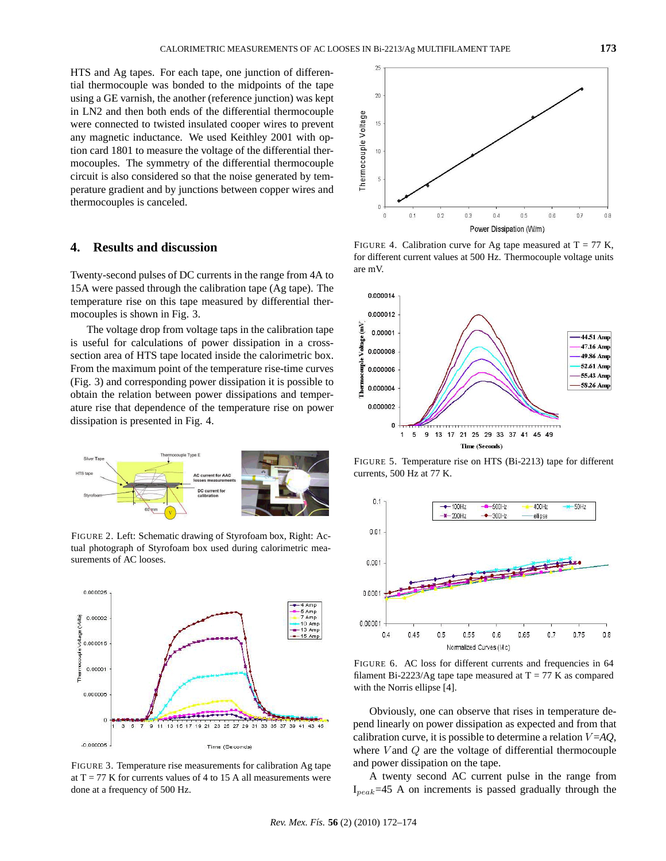HTS and Ag tapes. For each tape, one junction of differential thermocouple was bonded to the midpoints of the tape using a GE varnish, the another (reference junction) was kept in LN2 and then both ends of the differential thermocouple were connected to twisted insulated cooper wires to prevent any magnetic inductance. We used Keithley 2001 with option card 1801 to measure the voltage of the differential thermocouples. The symmetry of the differential thermocouple circuit is also considered so that the noise generated by temperature gradient and by junctions between copper wires and thermocouples is canceled.

#### **4. Results and discussion**

Twenty-second pulses of DC currents in the range from 4A to 15A were passed through the calibration tape (Ag tape). The temperature rise on this tape measured by differential thermocouples is shown in Fig. 3.

The voltage drop from voltage taps in the calibration tape is useful for calculations of power dissipation in a crosssection area of HTS tape located inside the calorimetric box. From the maximum point of the temperature rise-time curves (Fig. 3) and corresponding power dissipation it is possible to obtain the relation between power dissipations and temperature rise that dependence of the temperature rise on power dissipation is presented in Fig. 4.



FIGURE 2. Left: Schematic drawing of Styrofoam box, Right: Actual photograph of Styrofoam box used during calorimetric measurements of AC looses.



FIGURE 3. Temperature rise measurements for calibration Ag tape at  $T = 77$  K for currents values of 4 to 15 A all measurements were done at a frequency of 500 Hz.



FIGURE 4. Calibration curve for Ag tape measured at  $T = 77$  K, for different current values at 500 Hz. Thermocouple voltage units are mV.



FIGURE 5. Temperature rise on HTS (Bi-2213) tape for different currents, 500 Hz at 77 K.



FIGURE 6. AC loss for different currents and frequencies in 64 filament Bi-2223/Ag tape tape measured at  $T = 77$  K as compared with the Norris ellipse [4].

Obviously, one can observe that rises in temperature depend linearly on power dissipation as expected and from that calibration curve, it is possible to determine a relation  $V = AO$ , where  $V$  and  $Q$  are the voltage of differential thermocouple and power dissipation on the tape.

A twenty second AC current pulse in the range from  $I_{peak}$ =45 A on increments is passed gradually through the